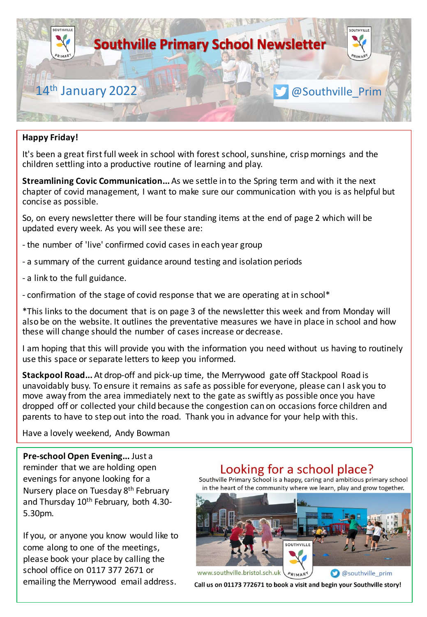

#### **Happy Friday!**

It's been a great first full week in school with forest school, sunshine, crisp mornings and the children settling into a productive routine of learning and play.

**Streamlining Covic Communication...** As we settle in to the Spring term and with it the next chapter of covid management, I want to make sure our communication with you is as helpful but concise as possible.

So, on every newsletter there will be four standing items at the end of page 2 which will be updated every week. As you will see these are:

- the number of 'live' confirmed covid cases in each year group
- a summary of the current guidance around testing and isolation periods
- a link to the full guidance.
- confirmation of the stage of covid response that we are operating at in school\*

\*This links to the document that is on page 3 of the newsletter this week and from Monday will also be on the website. It outlines the preventative measures we have in place in school and how these will change should the number of cases increase or decrease.

I am hoping that this will provide you with the information you need without us having to routinely use this space or separate letters to keep you informed.

**Stackpool Road...** At drop-off and pick-up time, the Merrywood gate off Stackpool Road is unavoidably busy. To ensure it remains as safe as possible for everyone, please can I ask you to move away from the area immediately next to the gate as swiftly as possible once you have dropped off or collected your child because the congestion can on occasions force children and parents to have to step out into the road. Thank you in advance for your help with this.

Have a lovely weekend, Andy Bowman

**Pre-school Open Evening...** Just a reminder that we are holding open evenings for anyone looking for a Nursery place on Tuesday 8<sup>th</sup> February and Thursday 10<sup>th</sup> February, both 4.30-5.30pm.

If you, or anyone you know would like to come along to one of the meetings, please book your place by calling the school office on 0117 377 2671 or emailing the Merrywood email address.

# Looking for a school place?

Southville Primary School is a happy, caring and ambitious primary school in the heart of the community where we learn, play and grow together.



Call us on 01173 772671 to book a visit and begin your Southville story!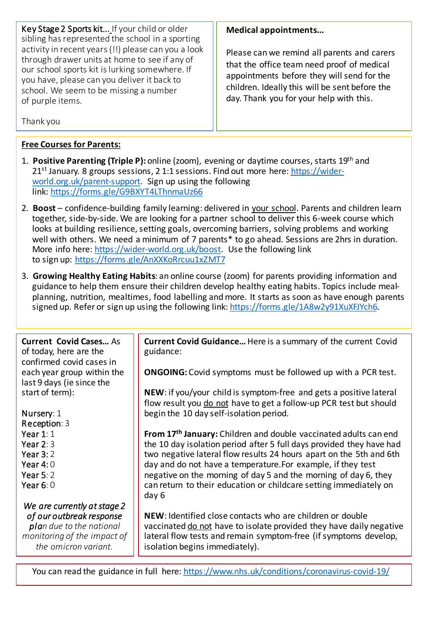Key Stage 2 Sports kit... If your child or older sibling has represented the school in a sporting activity in recent years (!!) please can you a look through drawer units at home to see if any of our school sports kit is lurking somewhere. If you have, please can you deliver it back to school. We seem to be missing a number of purple items.

**Medical appointments...**

Please can we remind all parents and carers that the office team need proof of medical appointments before they will send for the children. Ideally this will be sent before the day. Thank you for your help with this.

Thank you

# **Free Courses for Parents:**

- 1. **Positive Parenting (Triple P):** online (zoom), evening or daytime courses, starts 19th and  $21<sup>st</sup>$  January. 8 groups sessions, 2 1:1 sessions. Find out more here: https://widerworld.org.uk/parent-support. Sign up using the following link: https://forms.gle/G9BXYT4LThnmaUz66
- 2. **Boost** confidence-building family learning: delivered in your school. Parents and children learn together, side-by-side. We are looking for a partner school to deliver this 6-week course which looks at building resilience, setting goals, overcoming barriers, solving problems and working well with others. We need a minimum of 7 parents\* to go ahead. Sessions are 2hrs in duration. More info here: https://wider-world.org.uk/boost. Use the following link to sign up: https://forms.gle/AnXXKoRrcuu1xZMT7
- 3. **Growing Healthy Eating Habits**: an online course (zoom) for parents providing information and guidance to help them ensure their children develop healthy eating habits. Topics include mealplanning, nutrition, mealtimes, food labelling and more. It starts as soon as have enough parents signed up. Refer or sign up using the following link: https://forms.gle/1A8w2y91XuXFJYch6.

**Current Covid Cases…** As of today, here are the confirmed covid cases in each year group within the last 9 days (ie since the start of term):

Nursery: 1 Reception: 3 Year 1: 1 Year 2: 3 Year 3: 2 Year 4: 0 Year 5: 2 Year 6: 0 *We are currently at stage 2 of our outbreak response* 

*plan due to the national monitoring of the impact of the omicron variant.*

**Current Covid Guidance…** Here is a summary of the current Covid guidance:

**ONGOING:** Covid symptoms must be followed up with a PCR test.

**NEW**: if you/your child is symptom-free and gets a positive lateral flow result you do not have to get a follow-up PCR test but should begin the 10 day self-isolation period.

**From 17th January:** Children and double vaccinated adults can end the 10 day isolation period after 5 full days provided they have had two negative lateral flow results 24 hours apart on the 5th and 6th day and do not have a temperature.For example, if they test negative on the morning of day 5 and the morning of day 6, they can return to their education or childcare setting immediately on day 6

**NEW**: Identified close contacts who are children or double vaccinated do not have to isolate provided they have daily negative lateral flow tests and remain symptom-free (if symptoms develop, isolation begins immediately).

You can read the guidance in full here: https://www.nhs.uk/conditions/coronavirus-covid-19/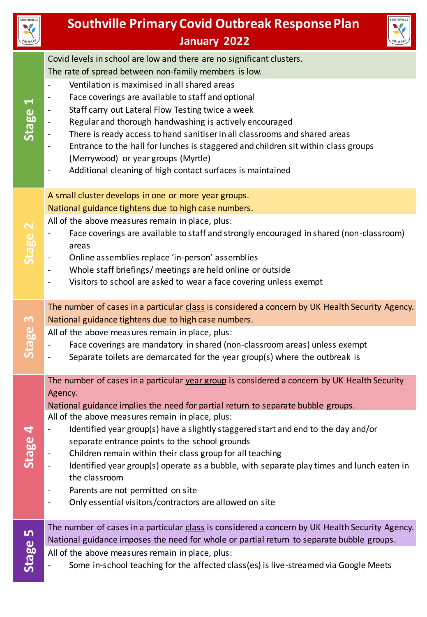

# **Southville Primary Covid Outbreak Response Plan January 2022**



|                               | Covid levels in school are low and there are no significant clusters.<br>The rate of spread between non-family members is low.                                                                                                                                                                                                                                                                                                                                                                                                                                                                 |  |
|-------------------------------|------------------------------------------------------------------------------------------------------------------------------------------------------------------------------------------------------------------------------------------------------------------------------------------------------------------------------------------------------------------------------------------------------------------------------------------------------------------------------------------------------------------------------------------------------------------------------------------------|--|
| $\blacktriangleleft$<br>Stage | Ventilation is maximised in all shared areas<br>$\overline{\phantom{a}}$<br>Face coverings are available to staff and optional<br>Staff carry out Lateral Flow Testing twice a week<br>Regular and thorough handwashing is actively encouraged<br>There is ready access to hand sanitiser in all classrooms and shared areas<br>Entrance to the hall for lunches is staggered and children sit within class groups<br>(Merrywood) or year groups (Myrtle)<br>Additional cleaning of high contact surfaces is maintained                                                                        |  |
|                               | A small cluster develops in one or more year groups.                                                                                                                                                                                                                                                                                                                                                                                                                                                                                                                                           |  |
| Stage                         | National guidance tightens due to high case numbers.<br>All of the above measures remain in place, plus:<br>Face coverings are available to staff and strongly encouraged in shared (non-classroom)<br>areas<br>Online assemblies replace 'in-person' assemblies<br>Whole staff briefings/ meetings are held online or outside<br>Visitors to school are asked to wear a face covering unless exempt                                                                                                                                                                                           |  |
| m<br>Stage                    | The number of cases in a particular class is considered a concern by UK Health Security Agency.<br>National guidance tightens due to high case numbers.<br>All of the above measures remain in place, plus:<br>Face coverings are mandatory in shared (non-classroom areas) unless exempt<br>Separate toilets are demarcated for the year group(s) where the outbreak is                                                                                                                                                                                                                       |  |
|                               | The number of cases in a particular year group is considered a concern by UK Health Security                                                                                                                                                                                                                                                                                                                                                                                                                                                                                                   |  |
| 4<br>Stage                    | Agency.<br>National guidance implies the need for partial return to separate bubble groups.<br>All of the above measures remain in place, plus:<br>Identified year group(s) have a slightly staggered start and end to the day and/or<br>separate entrance points to the school grounds<br>Children remain within their class group for all teaching<br>Identified year group(s) operate as a bubble, with separate play times and lunch eaten in<br>the classroom<br>Parents are not permitted on site<br>Only essential visitors/contractors are allowed on site<br>$\overline{\phantom{a}}$ |  |
| <u>in</u><br>Stage            | The number of cases in a particular class is considered a concern by UK Health Security Agency.<br>National guidance imposes the need for whole or partial return to separate bubble groups.<br>All of the above measures remain in place, plus:<br>Some in-school teaching for the affected class(es) is live-streamed via Google Meets                                                                                                                                                                                                                                                       |  |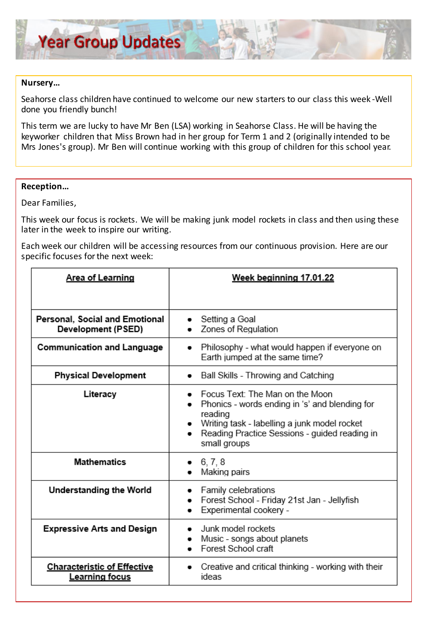#### **Nursery…**

Seahorse class children have continued to welcome our new starters to our class this week -Well done you friendly bunch!

This term we are lucky to have Mr Ben (LSA) working in Seahorse Class. He will be having the keyworker children that Miss Brown had in her group for Term 1 and 2 (originally intended to be Mrs Jones's group). Mr Ben will continue working with this group of children for this school year.

#### **Reception…**

Dear Families,

This week our focus is rockets. We will be making junk model rockets in class and then using these later in the week to inspire our writing.

Each week our children will be accessing resources from our continuous provision. Here are our specific focuses for the next week:

| <b>Area of Learning</b>                                     | Week beginning 17.01.22                                                                                                                                                                                                    |
|-------------------------------------------------------------|----------------------------------------------------------------------------------------------------------------------------------------------------------------------------------------------------------------------------|
|                                                             |                                                                                                                                                                                                                            |
| Personal, Social and Emotional<br>Development (PSED)        | Setting a Goal<br>Zones of Regulation                                                                                                                                                                                      |
| <b>Communication and Language</b>                           | Philosophy - what would happen if everyone on<br>$\bullet$<br>Earth jumped at the same time?                                                                                                                               |
| <b>Physical Development</b>                                 | Ball Skills - Throwing and Catching                                                                                                                                                                                        |
| Literacy                                                    | Focus Text: The Man on the Moon<br>Phonics - words ending in 's' and blending for<br>reading<br>Writing task - labelling a junk model rocket<br>Reading Practice Sessions - guided reading in<br>$\bullet$<br>small groups |
| <b>Mathematics</b>                                          | 6, 7, 8<br>Making pairs                                                                                                                                                                                                    |
| <b>Understanding the World</b>                              | Family celebrations<br>Forest School - Friday 21st Jan - Jellyfish<br>Experimental cookery -                                                                                                                               |
| <b>Expressive Arts and Design</b>                           | Junk model rockets<br>Music - songs about planets<br>Forest School craft                                                                                                                                                   |
| <b>Characteristic of Effective</b><br><b>Learning focus</b> | Creative and critical thinking - working with their<br>ideas                                                                                                                                                               |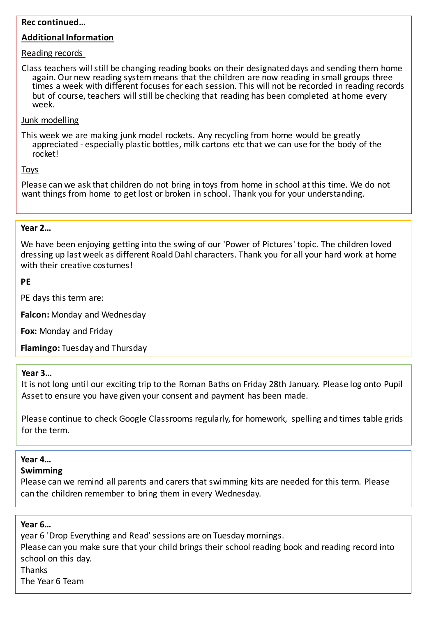#### **Rec continued…**

#### **Additional Information**

#### Reading records

Class teachers will still be changing reading books on their designated days and sending them home again. Our new reading system means that the children are now reading in small groups three times a week with different focuses for each session. This will not be recorded in reading records but of course, teachers will still be checking that reading has been completed at home every week.

#### Junk modelling

This week we are making junk model rockets. Any recycling from home would be greatly appreciated - especially plastic bottles, milk cartons etc that we can use for the body of the rocket!

#### Toys

Please can we ask that children do not bring in toys from home in school at this time. We do not want things from home to get lost or broken in school. Thank you for your understanding.

#### **Year 2…**

We have been enjoying getting into the swing of our 'Power of Pictures' topic. The children loved dressing up last week as different Roald Dahl characters. Thank you for all your hard work at home with their creative costumes!

#### **PE**

PE days this term are:

**Falcon:** Monday and Wednesday

**Fox:** Monday and Friday

**Flamingo:** Tuesday and Thursday

#### **Year 3…**

It is not long until our exciting trip to the Roman Baths on Friday 28th January. Please log onto Pupil Asset to ensure you have given your consent and payment has been made.

Please continue to check Google Classrooms regularly, for homework, spelling and times table grids for the term.

#### **Year 4…**

#### **Swimming**

Please can we remind all parents and carers that swimming kits are needed for this term. Please can the children remember to bring them in every Wednesday.

#### **Year 6…**

year 6 'Drop Everything and Read' sessions are on Tuesday mornings.

Please can you make sure that your child brings their school reading book and reading record into school on this day.

Thanks

The Year 6 Team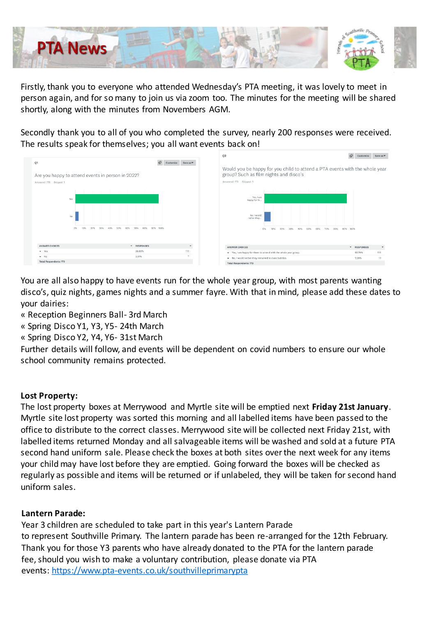

Firstly, thank you to everyone who attended Wednesday's PTA meeting, it was lovely to meet in person again, and for so many to join us via zoom too. The minutes for the meeting will be shared shortly, along with the minutes from Novembers AGM.

Secondly thank you to all of you who completed the survey, nearly 200 responses were received. The results speak for themselves; you all want events back on!



You are all also happy to have events run for the whole year group, with most parents wanting disco's, quiz nights, games nights and a summer fayre. With that in mind, please add these dates to your dairies:

- « Reception Beginners Ball- 3rd March
- « Spring Disco Y1, Y3, Y5- 24th March
- « Spring Disco Y2, Y4, Y6- 31st March

Further details will follow, and events will be dependent on covid numbers to ensure our whole school community remains protected.

# **Lost Property:**

The lost property boxes at Merrywood and Myrtle site will be emptied next **Friday 21st January**. Myrtle site lost property was sorted this morning and all labelled items have been passed to the office to distribute to the correct classes. Merrywood site will be collected next Friday 21st, with labelled items returned Monday and all salvageable items will be washed and sold at a future PTA second hand uniform sale. Please check the boxes at both sites over the next week for any items your child may have lost before they are emptied. Going forward the boxes will be checked as regularly as possible and items will be returned or if unlabeled, they will be taken for second hand uniform sales.

# **Lantern Parade:**

Year 3 children are scheduled to take part in this year's Lantern Parade to represent Southville Primary. The lantern parade has been re-arranged for the 12th February. Thank you for those Y3 parents who have already donated to the PTA for the lantern parade fee, should you wish to make a voluntary contribution, please donate via PTA events: https://www.pta-events.co.uk/southvilleprimarypta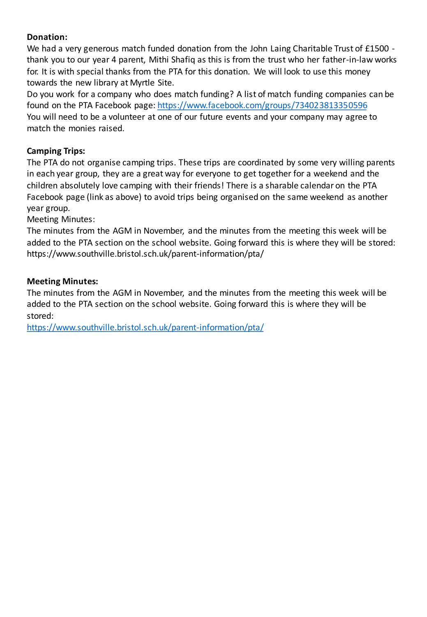# **Donation:**

We had a very generous match funded donation from the John Laing Charitable Trust of £1500 thank you to our year 4 parent, Mithi Shafiq as this is from the trust who her father-in-law works for. It is with special thanks from the PTA for this donation. We will look to use this money towards the new library at Myrtle Site.

Do you work for a company who does match funding? A list of match funding companies can be found on the PTA Facebook page: https://www.facebook.com/groups/734023813350596 You will need to be a volunteer at one of our future events and your company may agree to match the monies raised.

# **Camping Trips:**

The PTA do not organise camping trips. These trips are coordinated by some very willing parents in each year group, they are a great way for everyone to get together for a weekend and the children absolutely love camping with their friends! There is a sharable calendar on the PTA Facebook page (link as above) to avoid trips being organised on the same weekend as another year group.

Meeting Minutes:

The minutes from the AGM in November, and the minutes from the meeting this week will be added to the PTA section on the school website. Going forward this is where they will be stored: https://www.southville.bristol.sch.uk/parent-information/pta/

# **Meeting Minutes:**

The minutes from the AGM in November, and the minutes from the meeting this week will be added to the PTA section on the school website. Going forward this is where they will be stored:

https://www.southville.bristol.sch.uk/parent-information/pta/